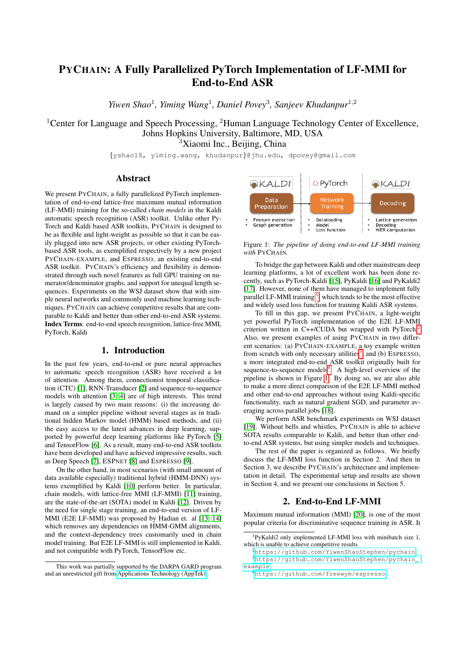# PYCHAIN: A Fully Parallelized PyTorch Implementation of LF-MMI for End-to-End ASR

*Yiwen Shao*<sup>1</sup> *, Yiming Wang*<sup>1</sup> *, Daniel Povey*<sup>3</sup> *, Sanjeev Khudanpur*<sup>1</sup>,<sup>2</sup>

<sup>1</sup> Center for Language and Speech Processing,  ${}^{2}$ Human Language Technology Center of Excellence, Johns Hopkins University, Baltimore, MD, USA <sup>3</sup>Xiaomi Inc., Beijing, China

{yshao18, yiming.wang, khudanpur}@jhu.edu, dpovey@gmail.com

# Abstract

We present PYCHAIN, a fully parallelized PyTorch implementation of end-to-end lattice-free maximum mutual information (LF-MMI) training for the so-called *chain models* in the Kaldi automatic speech recognition (ASR) toolkit. Unlike other Py-Torch and Kaldi based ASR toolkits, PYCHAIN is designed to be as flexible and light-weight as possible so that it can be easily plugged into new ASR projects, or other existing PyTorchbased ASR tools, as exemplified respectively by a new project PYCHAIN-EXAMPLE, and ESPRESSO, an existing end-to-end ASR toolkit. PYCHAIN's efficiency and flexibility is demonstrated through such novel features as full GPU training on numerator/denominator graphs, and support for unequal length sequences. Experiments on the WSJ dataset show that with simple neural networks and commonly used machine learning techniques, PYCHAIN can achieve competitive results that are comparable to Kaldi and better than other end-to-end ASR systems. Index Terms: end-to-end speech recognition, lattice-free MMI, PyTorch, Kaldi

### 1. Introduction

In the past few years, end-to-end or pure neural approaches to automatic speech recognition (ASR) have received a lot of attention. Among them, connectionist temporal classification (CTC) [\[1\]](#page-4-0), RNN-Transducer [\[2\]](#page-4-1) and sequence-to-sequence models with attention [\[3,](#page-4-2) [4\]](#page-4-3) are of high interests. This trend is largely caused by two main reasons: (i) the increasing demand on a simpler pipeline without several stages as in traditional hidden Markov model (HMM) based methods, and (ii) the easy access to the latest advances in deep learning, supported by powerful deep learning platforms like PyTorch [\[5\]](#page-4-4) and TensorFlow [\[6\]](#page-4-5). As a result, many end-to-end ASR toolkits have been developed and have achieved impressive results, such as Deep Speech [\[7\]](#page-4-6), ESPNET [\[8\]](#page-4-7) and ESPRESSO [\[9\]](#page-4-8).

On the other hand, in most scenarios (with small amount of data available especially) traditional hybrid (HMM-DNN) systems exemplified by Kaldi [\[10\]](#page-4-9) perform better. In particular, chain models, with lattice-free MMI (LF-MMI) [\[11\]](#page-4-10) training, are the state-of-the-art (SOTA) model in Kaldi [\[12\]](#page-4-11). Driven by the need for single stage training, an end-to-end version of LF-MMI (E2E LF-MMI) was proposed by Hadian et. al [\[13,](#page-4-12) [14\]](#page-4-13) which removes any dependencies on HMM-GMM alignments, and the context-dependency trees customarily used in chain model training. But E2E LF-MMI is still implemented in Kaldi, and not compatible with PyTorch, TensorFlow etc.

<span id="page-0-4"></span>

Figure 1: *The pipeline of doing end-to-end LF-MMI training with* PYCHAIN*.*

To bridge the gap between Kaldi and other mainstream deep learning platforms, a lot of excellent work has been done recently, such as PyTorch-Kaldi [\[15\]](#page-4-14), PyKaldi [\[16\]](#page-4-15) and PyKaldi2 [\[17\]](#page-4-16). However, none of them have managed to implement fully parallel LF-MMI training  $<sup>1</sup>$  $<sup>1</sup>$  $<sup>1</sup>$ , which tends to be the most effective</sup> and widely used loss function for training Kaldi ASR systems.

To fill in this gap, we present PYCHAIN, a light-weight yet powerful PyTorch implementation of the E2E LF-MMI criterion written in C++/CUDA but wrapped with PyTorch.<sup>[2](#page-0-1)</sup> Also, we present examples of using PYCHAIN in two different scenarios: (a) PYCHAIN-EXAMPLE, a toy example written from scratch with only necessary utilities<sup>[3](#page-0-2)</sup>, and (b) ESPRESSO, a more integrated end-to-end ASR toolkit originally built for sequence-to-sequence models<sup>[4](#page-0-3)</sup>. A high-level overview of the pipeline is shown in Figure [1.](#page-0-4) By doing so, we are also able to make a more direct comparison of the E2E LF-MMI method and other end-to-end approaches without using Kaldi-specific functionality, such as natural gradient SGD, and parameter averaging across parallel jobs [\[18\]](#page-4-17).

We perform ASR benchmark experiments on WSJ dataset [\[19\]](#page-4-18). Without bells and whistles, PYCHAIN is able to achieve SOTA results comparable to Kaldi, and better than other endto-end ASR systems, but using simpler models and techniques.

The rest of the paper is organized as follows. We briefly discuss the LF-MMI loss function in Section 2. And then in Section 3, we describe PYCHAIN's architecture and implementation in detail. The experimental setup and results are shown in Section 4, and we present our conclusions in Section 5.

# 2. End-to-End LF-MMI

Maximum mutual information (MMI) [\[20\]](#page-4-19), is one of the most popular criteria for discriminative sequence training in ASR. It

This work was partially supported by the DARPA GARD program and an unrestricted gift from [Applications Technology \(AppTek\).](https://www.apptek.com/)

<span id="page-0-0"></span> $1$ PyKaldi2 only implemented LF-MMI loss with minibatch size 1, which is unable to achieve competitive results

<span id="page-0-2"></span><span id="page-0-1"></span><sup>2</sup><https://github.com/YiwenShaoStephen/pychain> 3https://github.com/YiwenShaoStephen/pychain [example](https://github.com/YiwenShaoStephen/pychain_example)

<span id="page-0-3"></span><sup>4</sup><https://github.com/freewym/espresso>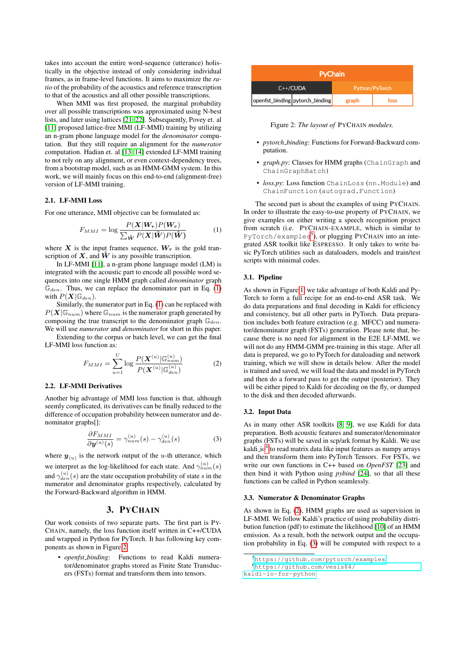takes into account the entire word-sequence (utterance) holistically in the objective instead of only considering individual frames, as in frame-level functions. It aims to maximize the *ratio* of the probability of the acoustics and reference transcription to that of the acoustics and all other possible transcriptions.

When MMI was first proposed, the marginal probability over all possible transcriptions was approximated using N-best lists, and later using lattices [\[21,](#page-4-20) [22\]](#page-4-21). Subsequently, Povey et. al [\[11\]](#page-4-10) proposed lattice-free MMI (LF-MMI) training by utilizing an n-gram phone language model for the *denominator* computation. But they still require an alignment for the *numerator* computation. Hadian et. al [\[13,](#page-4-12) [14\]](#page-4-13) extended LF-MMI training to not rely on any alignment, or even context-dependency trees, from a bootstrap model, such as an HMM-GMM system. In this work, we will mainly focus on this end-to-end (alignment-free) version of LF-MMI training.

#### 2.1. LF-MMI Loss

For one utterance, MMI objective can be formulated as:

<span id="page-1-0"></span>
$$
F_{MMI} = \log \frac{P(\mathbf{X}|\mathbf{W_r})P(\mathbf{W_r})}{\sum_{\mathbf{\hat{W}}} P(\mathbf{X}|\mathbf{\hat{W}})P(\mathbf{\hat{W}})} \tag{1}
$$

where X is the input frames sequence,  $W_r$  is the gold transcription of  $X$ , and  $\hat{W}$  is any possible transcription.

In LF-MMI [\[11\]](#page-4-10), a n-gram phone language model (LM) is integrated with the acoustic part to encode all possible word sequences into one single HMM graph called *denominator* graph  $\mathbb{G}_{den}$ . Thus, we can replace the denominator part in Eq. [\(1\)](#page-1-0) with  $P(X|\mathbb{G}_{den})$ .

Similarly, the numerator part in Eq. [\(1\)](#page-1-0) can be replaced with  $P(X|\mathbb{G}_{num})$  where  $\mathbb{G}_{num}$  is the numerator graph generated by composing the true transcript to the denominator graph  $\mathbb{G}_{den}$ . We will use *numerator* and *denominator* for short in this paper.

Extending to the corpus or batch level, we can get the final LF-MMI loss function as:

<span id="page-1-4"></span>
$$
F_{MMI} = \sum_{u=1}^{U} \log \frac{P(\boldsymbol{X}^{(u)} | \mathbb{G}_{num}^{(u)})}{P(\boldsymbol{X}^{(u)} | \mathbb{G}_{den}^{(u)})}
$$
(2)

#### 2.2. LF-MMI Derivatives

Another big advantage of MMI loss function is that, although seemly complicated, its derivatives can be finally reduced to the difference of occupation probability between numerator and denominator graphs[]:

<span id="page-1-5"></span>
$$
\frac{\partial F_{MMI}}{\partial \mathbf{y}^{(u)}(s)} = \gamma_{num}^{(u)}(s) - \gamma_{den}^{(u)}(s)
$$
(3)

where  $y_{(u)}$  is the network output of the u-th utterance, which we interpret as the log-likelihood for each state. And  $\gamma_{num}^{(u)}(s)$ and  $\gamma_{den}^{(u)}(s)$  are the state occupation probability of state s in the numerator and denominator graphs respectively, calculated by the Forward-Backward algorithm in HMM.

# 3. PYCHAIN

Our work consists of two separate parts. The first part is PY-CHAIN, namely, the loss function itself written in C++/CUDA and wrapped in Python for PyTorch. It has following key components as shown in Figure [2:](#page-1-1)

• *openfst binding*: Functions to read Kaldi numerator/denominator graphs stored as Finite State Transducers (FSTs) format and transform them into tensors.

<span id="page-1-1"></span>

| PyChain                         |  |                |      |  |  |
|---------------------------------|--|----------------|------|--|--|
| $C++/CUDA$                      |  | Python/PyTorch |      |  |  |
| openfst_binding pytorch_binding |  | graph          | loss |  |  |

Figure 2: *The layout of* PYCHAIN *modules.*

- *pytorch binding*: Functions for Forward-Backward computation.
- *graph.py*: Classes for HMM graphs (ChainGraph and ChainGraphBatch)
- *loss.py*: Loss function ChainLoss (nn. Module) and ChainFunction (autograd.Function)

The second part is about the examples of using PYCHAIN. In order to illustrate the easy-to-use property of PYCHAIN, we give examples on either writing a speech recognition project from scratch (i.e. PYCHAIN-EXAMPLE, which is similar to <code>PyTorch/examples</code><sup>[5](#page-1-2)</sup>), or plugging <code>PYCHAIN</code> into an integrated ASR toolkit like ESPRESSO. It only takes to write basic PyTorch utilities such as dataloaders, models and train/test scripts with minimal codes.

#### 3.1. Pipeline

As shown in Figure [1,](#page-0-4) we take advantage of both Kaldi and Py-Torch to form a full recipe for an end-to-end ASR task. We do data preparations and final decoding in Kaldi for efficiency and consistency, but all other parts in PyTorch. Data preparation includes both feature extraction (e.g. MFCC) and numerator/denominator graph (FSTs) generation. Please note that, because there is no need for alignment in the E2E LF-MMI, we will not do any HMM-GMM pre-training in this stage. After all data is prepared, we go to PyTorch for dataloading and network training, which we will show in details below. After the model is trained and saved, we will load the data and model in PyTorch and then do a forward pass to get the output (posterior). They will be either piped to Kaldi for decoding on the fly, or dumped to the disk and then decoded afterwards.

#### 3.2. Input Data

As in many other ASR toolkits [\[8,](#page-4-7) [9\]](#page-4-8), we use Kaldi for data preparation. Both acoustic features and numerator/denominator graphs (FSTs) will be saved in scp/ark format by Kaldi. We use kaldi io<sup>[6](#page-1-3)</sup> to read matrix data like input features as numpy arrays and then transform them into PyTorch Tensors. For FSTs, we write our own functions in C++ based on *OpenFST* [\[23\]](#page-4-22) and then bind it with Python using *pybind* [\[24\]](#page-4-23), so that all these functions can be called in Python seamlessly.

#### 3.3. Numerator & Denominator Graphs

As shown in Eq. [\(2\)](#page-1-4), HMM graphs are used as supervision in LF-MMI. We follow Kaldi's practice of using probability distribution function (pdf) to estimate the likelihood [\[10\]](#page-4-9) of an HMM emission. As a result, both the network output and the occupation probability in Eq. [\(3\)](#page-1-5) will be computed with respect to a

<span id="page-1-2"></span><sup>5</sup><https://github.com/pytorch/examples>

<span id="page-1-3"></span><sup>6</sup>[https://github.com/vesis84/](https://github.com/vesis84/kaldi-io-for-python)

[kaldi-io-for-python](https://github.com/vesis84/kaldi-io-for-python)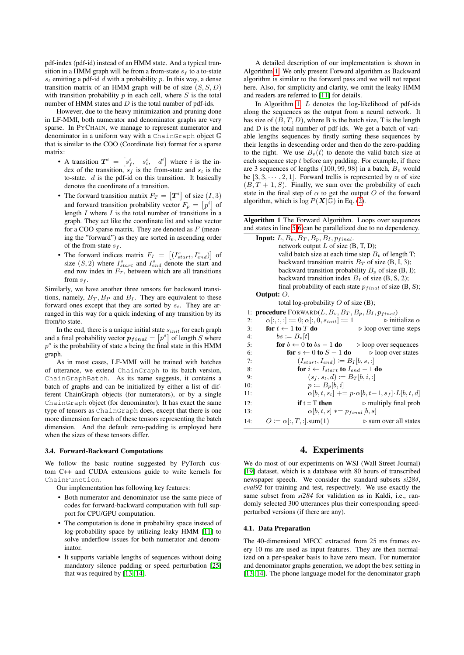pdf-index (pdf-id) instead of an HMM state. And a typical transition in a HMM graph will be from a from-state  $s_f$  to a to-state  $s_t$  emitting a pdf-id d with a probability p. In this way, a dense transition matrix of an HMM graph will be of size  $(S, S, D)$ with transition probability  $p$  in each cell, where  $S$  is the total number of HMM states and  $D$  is the total number of pdf-ids.

However, due to the heavy minimization and pruning done in LF-MMI, both numerator and denominator graphs are very sparse. In PYCHAIN, we manage to represent numerator and denominator in a uniform way with a ChainGraph object G that is similar to the COO (Coordinate list) format for a sparse matrix:

- A transition  $T^i = \begin{bmatrix} s_f^i, & s_t^i, & d^i \end{bmatrix}$  where i is the index of the transition,  $s_f$  is the from-state and  $s_t$  is the to-state.  $d$  is the pdf-id on this transition. It basically denotes the coordinate of a transition.
- The forward transition matrix  $F_T = \begin{bmatrix} T^i \end{bmatrix}$  of size  $(I, 3)$ and forward transition probability vector  $F_p = \begin{bmatrix} p^i \end{bmatrix}$  of length  $I$  where  $I$  is the total number of transitions in a graph. They act like the coordinate list and value vector for a COO sparse matrix. They are denoted as  $F$  (meaning the "forward") as they are sorted in ascending order of the from-state  $s_f$ .
- The forward indices matrix  $F_I = [(I_{start}^s, I_{end}^s)]$  of size  $(S, 2)$  where  $I_{start}^s$  and  $I_{end}^s$  denote the start and end row index in  $F_T$ , between which are all transitions from  $s_f$ .

Similarly, we have another three tensors for backward transitions, namely,  $B_T$ ,  $B_P$  and  $B_I$ . They are equivalent to these forward ones except that they are sorted by  $s_t$ . They are arranged in this way for a quick indexing of any transition by its from/to state.

In the end, there is a unique initial state  $s_{init}$  for each graph and a final probability vector  $p_{final} = [p^s]$  of length S where  $p<sup>s</sup>$  is the probability of state s being the final state in this HMM graph.

As in most cases, LF-MMI will be trained with batches of utterance, we extend ChainGraph to its batch version, ChainGraphBatch. As its name suggests, it contains a batch of graphs and can be initialized by either a list of different ChainGraph objects (for numerators), or by a single ChainGraph object (for denominator). It has exact the same type of tensors as ChainGraph does, except that there is one more dimension for each of these tensors representing the batch dimension. And the default zero-padding is employed here when the sizes of these tensors differ.

#### 3.4. Forward-Backward Computations

We follow the basic routine suggested by PyTorch custom C++ and CUDA extensions guide to write kernels for ChainFunction.

Our implementation has following key features:

- Both numerator and denominator use the same piece of codes for forward-backward computation with full support for CPU/GPU computation.
- The computation is done in probability space instead of log-probability space by utilizing leaky HMM [\[11\]](#page-4-10) to solve underflow issues for both numerator and denominator.
- It supports variable lengths of sequences without doing mandatory silence padding or speed perturbation [\[25\]](#page-4-24) that was required by [\[13,](#page-4-12) [14\]](#page-4-13).

A detailed description of our implementation is shown in Algorithm [1.](#page-2-0) We only present Forward algorithm as Backward algorithm is similar to the forward pass and we will not repeat here. Also, for simplicity and clarity, we omit the leaky HMM and readers are referred to [\[11\]](#page-4-10) for details.

In Algorithm [1,](#page-2-0)  $L$  denotes the log-likelihood of pdf-ids along the sequences as the output from a neural network. It has size of  $(B, T, D)$ , where B is the batch size, T is the length and D is the total number of pdf-ids. We get a batch of variable lengths sequences by firstly sorting these sequences by their lengths in descending order and then do the zero-padding to the right. We use  $B_v(t)$  to denote the valid batch size at each sequence step  $t$  before any padding. For example, if there are 3 sequences of lengths  $(100, 99, 98)$  in a batch,  $B_v$  would be [3, 3,  $\cdots$ , 2, 1]. Forward trellis is represented by  $\alpha$  of size  $(B, T + 1, S)$ . Finally, we sum over the probability of each state in the final step of  $\alpha$  to get the output O of the forward algorithm, which is  $\log P(X|\mathbb{G})$  in Eq. [\(2\)](#page-1-4).

<span id="page-2-0"></span>

| Algorithm 1 The Forward Algorithm. Loops over sequences          |  |  |
|------------------------------------------------------------------|--|--|
| and states in line 5-6 can be parallelized due to no dependency. |  |  |

|                  | <b>Input:</b> $L, B_v, B_T, B_p, B_I, p_{final}$ .                    |                                                                                |  |  |  |  |
|------------------|-----------------------------------------------------------------------|--------------------------------------------------------------------------------|--|--|--|--|
|                  | network output $L$ of size $(B, T, D)$ ;                              |                                                                                |  |  |  |  |
|                  | valid batch size at each time step $B_v$ of length T;                 |                                                                                |  |  |  |  |
|                  | backward transition matrix $B_T$ of size (B, I, 3);                   |                                                                                |  |  |  |  |
|                  | backward transition probability $B_p$ of size (B, I);                 |                                                                                |  |  |  |  |
|                  | backward transition index $B_I$ of size (B, S, 2);                    |                                                                                |  |  |  |  |
|                  | final probability of each state $p_{final}$ of size (B, S);           |                                                                                |  |  |  |  |
|                  | Output: $O$ .                                                         |                                                                                |  |  |  |  |
|                  | total log-probability $O$ of size (B);                                |                                                                                |  |  |  |  |
|                  | 1: <b>procedure</b> FORWARD $(L, B_v, B_T, B_p, B_I, p_{final})$      |                                                                                |  |  |  |  |
| 2:               | $\alpha[:, :, :] \coloneqq 0; \alpha[:, 0, s_{init}] \coloneqq 1$     | $\triangleright$ initialize $\alpha$                                           |  |  |  |  |
| $\overline{3}$ : | for $t \leftarrow 1$ to T do                                          | $\triangleright$ loop over time steps                                          |  |  |  |  |
| 4:               | $bs \coloneqq B_v[t]$                                                 |                                                                                |  |  |  |  |
| 5:               | for $b \leftarrow 0$ to $bs - 1$ do $\Rightarrow$ loop over sequences |                                                                                |  |  |  |  |
| 6:               | for $s \leftarrow 0$ to $S - 1$ do $\Rightarrow$ boop over states     |                                                                                |  |  |  |  |
| 7:               | $(I_{start}, I_{end}) \coloneqq B_I[b, s, :]$                         |                                                                                |  |  |  |  |
| 8:               | for $i \leftarrow I_{start}$ to $I_{end} - 1$ do                      |                                                                                |  |  |  |  |
| 9:               | $(s_f, s_t, d) \coloneqq B_T[b, i, :]$                                |                                                                                |  |  |  |  |
| 10:              | $p := B_n[b, i]$                                                      |                                                                                |  |  |  |  |
| 11:              |                                                                       | $\alpha[b, t, s_t] \rightarrow = p \cdot \alpha[b, t-1, s_f] \cdot L[b, t, d]$ |  |  |  |  |
| 12:              | if $t = T$ then                                                       | $\triangleright$ multiply final prob                                           |  |  |  |  |
| 13:              | $\alpha[b, t, s] \equiv p_{final}[b, s]$                              |                                                                                |  |  |  |  |
| 14:              | $Q := \alpha   \cdot, T, \cdot   \cdot, \text{sum}(1)$                | $\triangleright$ sum over all states                                           |  |  |  |  |
|                  |                                                                       |                                                                                |  |  |  |  |

# 4. Experiments

We do most of our experiments on WSJ (Wall Street Journal) [\[19\]](#page-4-18) dataset, which is a database with 80 hours of transcribed newspaper speech. We consider the standard subsets *si284*, *eval92* for training and test, respectively. We use exactly the same subset from *si284* for validation as in Kaldi, i.e., randomly selected 300 utterances plus their corresponding speedperturbed versions (if there are any).

#### 4.1. Data Preparation

The 40-dimensional MFCC extracted from 25 ms frames every 10 ms are used as input features. They are then normalized on a per-speaker basis to have zero mean. For numerator and denominator graphs generation, we adopt the best setting in [\[13,](#page-4-12) [14\]](#page-4-13). The phone language model for the denominator graph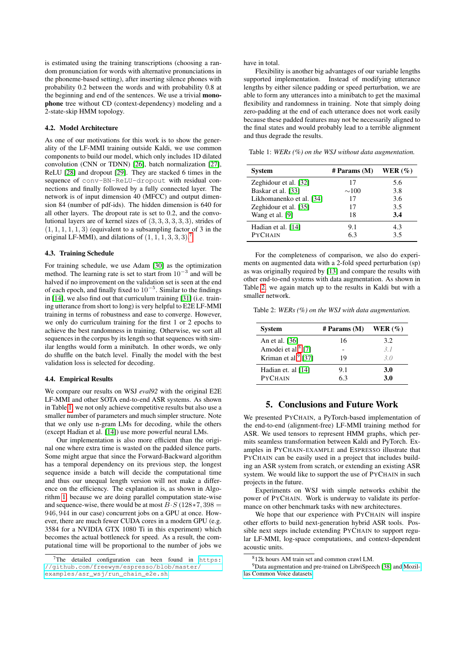is estimated using the training transcriptions (choosing a random pronunciation for words with alternative pronunciations in the phoneme-based setting), after inserting silence phones with probability 0.2 between the words and with probability 0.8 at the beginning and end of the sentences. We use a trivial monophone tree without CD (context-dependency) modeling and a 2-state-skip HMM topology.

#### 4.2. Model Architecture

As one of our motivations for this work is to show the generality of the LF-MMI training outside Kaldi, we use common components to build our model, which only includes 1D dilated convolution (CNN or TDNN) [\[26\]](#page-4-25), batch normalization [\[27\]](#page-4-26), ReLU [\[28\]](#page-4-27) and dropout [\[29\]](#page-4-28). They are stacked 6 times in the sequence of conv-BN-ReLU-dropout with residual connections and finally followed by a fully connected layer. The network is of input dimension 40 (MFCC) and output dimension 84 (number of pdf-ids). The hidden dimension is 640 for all other layers. The dropout rate is set to 0.2, and the convolutional layers are of kernel sizes of (3, 3, 3, 3, 3, 3), strides of  $(1, 1, 1, 1, 1, 3)$  (equivalent to a subsampling factor of 3 in the original LF-MMI), and dilations of  $(1, 1, 1, 3, 3, 3)$ .

#### 4.3. Training Schedule

For training schedule, we use Adam [\[30\]](#page-4-29) as the optimization method. The learning rate is set to start from  $10^{-3}$  and will be halved if no improvement on the validation set is seen at the end of each epoch, and finally fixed to  $10^{-5}$ . Similar to the findings in [\[14\]](#page-4-13), we also find out that curriculum training [\[31\]](#page-4-30) (i.e. training utterance from short to long) is very helpful to E2E LF-MMI training in terms of robustness and ease to converge. However, we only do curriculum training for the first 1 or 2 epochs to achieve the best randomness in training. Otherwise, we sort all sequences in the corpus by its length so that sequences with similar lengths would form a minibatch. In other words, we only do shuffle on the batch level. Finally the model with the best validation loss is selected for decoding.

#### 4.4. Empirical Results

We compare our results on WSJ *eval92* with the original E2E LF-MMI and other SOTA end-to-end ASR systems. As shown in Table [1,](#page-3-1) we not only achieve competitive results but also use a smaller number of parameters and much simpler structure. Note that we only use n-gram LMs for decoding, while the others (except Hadian et al. [\[14\]](#page-4-13)) use more powerful neural LMs.

Our implementation is also more efficient than the original one where extra time is wasted on the padded silence parts. Some might argue that since the Forward-Backward algorithm has a temporal dependency on its previous step, the longest sequence inside a batch will decide the computational time and thus our unequal length version will not make a difference on the efficiency. The explanation is, as shown in Algorithm [1,](#page-2-0) because we are doing parallel computation state-wise and sequence-wise, there would be at most  $\vec{B} \cdot S$  (128\*7, 398 = 946, 944 in our case) concurrent jobs on a GPU at once. However, there are much fewer CUDA cores in a modern GPU (e.g. 3584 for a NVIDIA GTX 1080 Ti in this experiment) which becomes the actual bottleneck for speed. As a result, the computational time will be proportional to the number of jobs we have in total.

Flexibility is another big advantages of our variable lengths supported implementation. Instead of modifying utterance lengths by either silence padding or speed perturbation, we are able to form any utterances into a minibatch to get the maximal flexibility and randomness in training. Note that simply doing zero-padding at the end of each utterance does not work easily because these padded features may not be necessarily aligned to the final states and would probably lead to a terrible alignment and thus degrade the results.

<span id="page-3-1"></span>Table 1: *WERs (%) on the WSJ without data augmentation.*

| $#$ Params $(M)$ | WER $(\%)$ |
|------------------|------------|
| 17               | 5.6        |
| $\sim$ 100       | 3.8        |
| 17               | 3.6        |
| 17               | 3.5        |
| 18               | 3.4        |
| 9.1              | 4.3        |
| 63               | 3.5        |
|                  |            |

For the completeness of comparison, we also do experiments on augmented data with a 2-fold speed perturbation (sp) as was originally required by [\[13\]](#page-4-12) and compare the results with other end-to-end systems with data augmentation. As shown in Table [2,](#page-3-2) we again match up to the results in Kaldi but with a smaller network.

<span id="page-3-2"></span>Table 2: *WERs (%) on the WSJ with data augmentation.*

| <b>System</b>                   | $#$ Params $(M)$ | WER $(\%)$ |
|---------------------------------|------------------|------------|
| An et al. [36]                  | 16               | 3.2        |
| Amodei et al. <sup>8</sup> [7]  |                  | 3.1        |
| Kriman et al. <sup>9</sup> [37] | 19               | 3.0        |
| Hadian et. al [14]              | 9.1              | <b>3.0</b> |
| <b>PYCHAIN</b>                  | 63               | 3.0        |

# 5. Conclusions and Future Work

We presented PYCHAIN, a PyTorch-based implementation of the end-to-end (alignment-free) LF-MMI training method for ASR. We used tensors to represent HMM graphs, which permits seamless transformation between Kaldi and PyTorch. Examples in PYCHAIN-EXAMPLE and ESPRESSO illustrate that PYCHAIN can be easily used in a project that includes building an ASR system from scratch, or extending an existing ASR system. We would like to support the use of PYCHAIN in such projects in the future.

Experiments on WSJ with simple networks exhibit the power of PYCHAIN. Work is underway to validate its performance on other benchmark tasks with new architectures.

We hope that our experience with PYCHAIN will inspire other efforts to build next-generation hybrid ASR tools. Possible next steps include extending PYCHAIN to support regular LF-MMI, log-space computations, and context-dependent acoustic units.

<span id="page-3-0"></span> $7$ The detailed configuration can been found in [https:](https://github.com/freewym/espresso/blob/master/examples/asr_wsj/run_chain_e2e.sh) [//github.com/freewym/espresso/blob/master/](https://github.com/freewym/espresso/blob/master/examples/asr_wsj/run_chain_e2e.sh) [examples/asr\\_wsj/run\\_chain\\_e2e.sh](https://github.com/freewym/espresso/blob/master/examples/asr_wsj/run_chain_e2e.sh).

<span id="page-3-4"></span><span id="page-3-3"></span><sup>8</sup>12k hours AM train set and common crawl LM.

<sup>9</sup>Data augmentation and pre-trained on LibriSpeech [\[38\]](#page-4-37) and [Mozil](https://voice.mozilla.org/en/datasets)[las Common Voice datasets.](https://voice.mozilla.org/en/datasets)